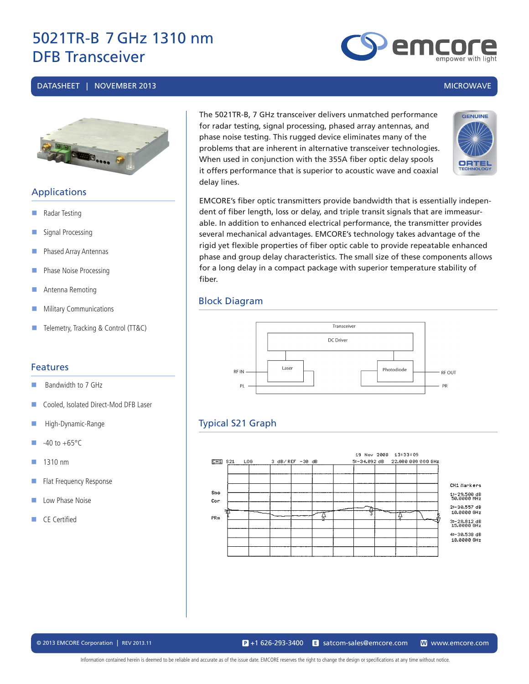#### DATASHEET | NOVEMBER 2013 MICROWAVE



# Applications

- **Radar Testing**
- Signal Processing
- **Phased Array Antennas**
- **Phase Noise Processing**
- Antenna Remoting
- **Military Communications**
- Telemetry, Tracking & Control (TT&C)

#### Features

- $\blacksquare$  Bandwidth to 7 GHz
- Cooled, Isolated Direct-Mod DFB Laser
- High-Dynamic-Range
- $-40$  to  $+65^{\circ}$ C
- $1310 \text{ nm}$
- Flat Frequency Response
- **Low Phase Noise**
- CE Certified

The 5021TR-B, 7 GHz transceiver delivers unmatched performance for radar testing, signal processing, phased array antennas, and phase noise testing. This rugged device eliminates many of the problems that are inherent in alternative transceiver technologies. When used in conjunction with the 355A fiber optic delay spools it offers performance that is superior to acoustic wave and coaxial delay lines.



EMCORE's fiber optic transmitters provide bandwidth that is essentially independent of fiber length, loss or delay, and triple transit signals that are immeasurable. In addition to enhanced electrical performance, the transmitter provides several mechanical advantages. EMCORE's technology takes advantage of the rigid yet flexible properties of fiber optic cable to provide repeatable enhanced phase and group delay characteristics. The small size of these components allows for a long delay in a compact package with superior temperature stability of fiber.

### Block Diagram



# Typical S21 Graph



© 2013 EMCORE Corporation | REV 2013.11 satcom-sales@emcore.com W www.emcore.com www.emcore.com www.emcore.com  $\mathbf{P}_{1}$  +1 626-293-3400

Information contained herein is deemed to be reliable and accurate as of the issue date. EMCORE reserves the right to change the design or specifications at any time without notice.



emc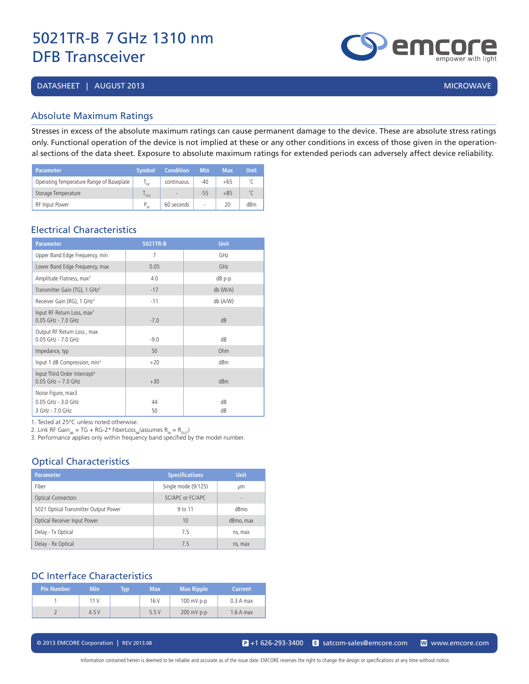DATASHEET | AUGUST 2013 MICROWAVE

# Absolute Maximum Ratings

Stresses in excess of the absolute maximum ratings can cause permanent damage to the device. These are absolute stress ratings only. Functional operation of the device is not implied at these or any other conditions in excess of those given in the operational sections of the data sheet. Exposure to absolute maximum ratings for extended periods can adversely affect device reliability.

| Parameter'                               | <b>Symbol</b>   | <b>Condition</b>         | <b>Min</b> | <b>Max</b> | <b>Unit</b> |
|------------------------------------------|-----------------|--------------------------|------------|------------|-------------|
| Operating Temperature Range of Baseplate | י∩ <sup>ו</sup> | continuous               | $-40$      | $+65$      |             |
| Storage Temperature                      | STG             | $\overline{\phantom{a}}$ | $-55$      | $+85$      |             |
| <b>RF</b> Input Power                    | IN              | 60 seconds               |            | 20         | dBm         |

# Electrical Characteristics

| <b>Parameter</b>                                                   | 5021TR-B | <b>Unit</b> |
|--------------------------------------------------------------------|----------|-------------|
| Upper Band Edge Frequency, min                                     | 7        | GHz         |
| Lower Band Edge Frequency, max                                     | 0.05     | GHz         |
| Amplitude Flatness, max <sup>3</sup>                               | 4.0      | dB p-p      |
| Transmitter Gain (TG), 1 GHz <sup>2</sup>                          | $-17$    | db (W/A)    |
| Receiver Gain (RG), 1 GHz <sup>2</sup>                             | $-11$    | db (A/W)    |
| Input RF Return Loss, max <sup>3</sup><br>$0.05$ GHz - $7.0$ GHz   | $-7.0$   | dB          |
| Output RF Return Loss, max<br>$0.05$ GHz - $7.0$ GHz               | $-9.0$   | dB          |
| Impedance, typ                                                     | 50       | Ohm         |
| Input 1 dB Compression, min <sup>3</sup>                           | $+20$    | dBm         |
| Input Third Order Intercept <sup>3</sup><br>$0.05$ GHz $-$ 7.0 GHz | $+30$    | dBm         |
| Noise Figure, max3<br>0.05 GHz - 3.0 GHz<br>3 GHz - 7.0 GHz        | 44<br>50 | dB<br>dB    |

1. Tested at 25°C unless noted otherwise.

2. Link RF Gain<sub>dB</sub> = TG + RG-2\* FiberLoss<sub>dB</sub>(assumes R<sub>IN</sub> = R<sub>OUT</sub>)

3. Performance applies only within frequency band specified by the model number.

# Optical Characteristics

| <b>Parameter</b>                      | <b>Specifications</b> | <b>Unit</b> |
|---------------------------------------|-----------------------|-------------|
| Fiber                                 | Single mode (9/125)   | μm          |
| <b>Optical Connectors</b>             | SC/APC or EC/APC      |             |
| 5021 Optical Transmitter Output Power | 9 to 11               | dBmo        |
| Optical Receiver Input Power          | 10                    | dBmo, max   |
| Delay - Tx Optical                    | 7.5                   | ns, max     |
| Delay - Rx Optical                    | 75                    | ns, max     |

#### DC Interface Characteristics

| <b>Pin Number</b> | <b>Min</b> | Typ | <b>Max</b> | <b>Max Ripple</b> | <b>Current</b> |
|-------------------|------------|-----|------------|-------------------|----------------|
|                   | 11V        |     | 16 V       | $100$ mV p-p      | $0.3A$ max     |
|                   | 4.5V       |     | 5.5V       | $200$ mV p-p      | $1.6A$ max     |

© 2013 EMCORE Corporation | REV 2013.08 satcom-sales@emcore.com and www.emcore.com www.emcore.com www.emcore.com

Information contained herein is deemed to be reliable and accurate as of the issue date. EMCORE reserves the right to change the design or specifications at any time without notice.

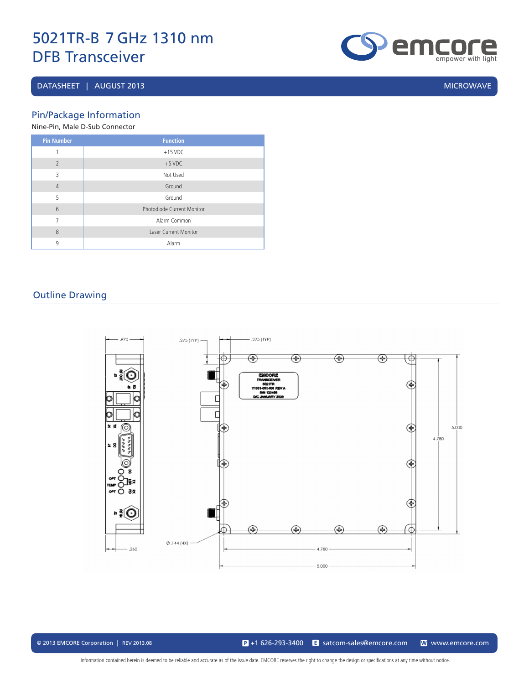# DATASHEET | AUGUST 2013 MICROWAVE

**emgore** 

Pin/Package Information

|  | Nine-Pin, Male D-Sub Connector |
|--|--------------------------------|

| <b>Pin Number</b> | <b>Function</b>              |
|-------------------|------------------------------|
| 1                 | $+15$ VDC                    |
| $\overline{2}$    | $+5$ VDC                     |
| 3                 | Not Used                     |
| $\overline{4}$    | Ground                       |
| 5                 | Ground                       |
| 6                 | Photodiode Current Monitor   |
| 7                 | Alarm Common                 |
| 8                 | <b>Laser Current Monitor</b> |
| 9                 | Alarm                        |

# Outline Drawing